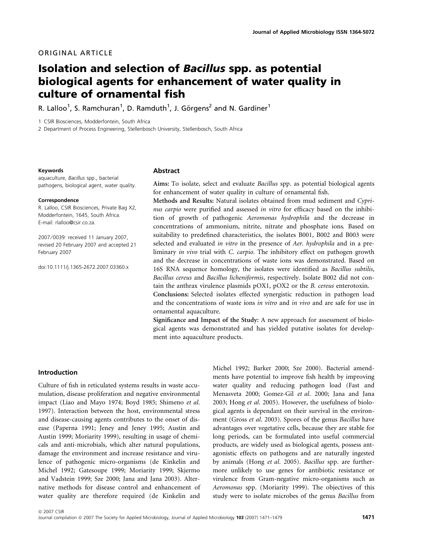# ORIGINAL ARTICLE

# Isolation and selection of Bacillus spp. as potential biological agents for enhancement of water quality in culture of ornamental fish

R. Lalloo<sup>1</sup>, S. Ramchuran<sup>1</sup>, D. Ramduth<sup>1</sup>, J. Görgens<sup>2</sup> and N. Gardiner<sup>1</sup>

1 CSIR Biosciences, Modderfontein, South Africa

2 Department of Process Engineering, Stellenbosch University, Stellenbosch, South Africa

#### Keywords

aquaculture, Bacillus spp., bacterial pathogens, biological agent, water quality.

#### Correspondence

R. Lalloo, CSIR Biosciences, Private Bag X2, Modderfontein, 1645, South Africa. E-mail: rlalloo@csir.co.za.

2007 ⁄ 0039: received 11 January 2007, revised 20 February 2007 and accepted 21 February 2007

doi:10.1111/j.1365-2672.2007.03360.x

#### Abstract

Aims: To isolate, select and evaluate Bacillus spp. as potential biological agents for enhancement of water quality in culture of ornamental fish.

Methods and Results: Natural isolates obtained from mud sediment and Cyprinus carpio were purified and assessed in vitro for efficacy based on the inhibition of growth of pathogenic Aeromonas hydrophila and the decrease in concentrations of ammonium, nitrite, nitrate and phosphate ions. Based on suitability to predefined characteristics, the isolates B001, B002 and B003 were selected and evaluated in vitro in the presence of Aer. hydrophila and in a preliminary in vivo trial with C. carpio. The inhibitory effect on pathogen growth and the decrease in concentrations of waste ions was demonstrated. Based on 16S RNA sequence homology, the isolates were identified as Bacillus subtilis, Bacillus cereus and Bacillus licheniformis, respectively. Isolate B002 did not contain the anthrax virulence plasmids pOX1, pOX2 or the B. cereus enterotoxin.

Conclusions: Selected isolates effected synergistic reduction in pathogen load and the concentrations of waste ions in vitro and in vivo and are safe for use in ornamental aquaculture.

Significance and Impact of the Study: A new approach for assessment of biological agents was demonstrated and has yielded putative isolates for development into aquaculture products.

### Introduction

Culture of fish in reticulated systems results in waste accumulation, disease proliferation and negative environmental impact (Liao and Mayo 1974; Boyd 1985; Shimeno et al. 1997). Interaction between the host, environmental stress and disease-causing agents contributes to the onset of disease (Paperna 1991; Jeney and Jeney 1995; Austin and Austin 1999; Moriarity 1999), resulting in usage of chemicals and anti-microbials, which alter natural populations, damage the environment and increase resistance and virulence of pathogenic micro-organisms (de Kinkelin and Michel 1992; Gatesoupe 1999; Moriarity 1999; Skjermo and Vadstein 1999; Sze 2000; Jana and Jana 2003). Alternative methods for disease control and enhancement of water quality are therefore required (de Kinkelin and

Michel 1992; Barker 2000; Sze 2000). Bacterial amendments have potential to improve fish health by improving water quality and reducing pathogen load (Fast and Menasveta 2000; Gomez-Gil et al. 2000; Jana and Jana 2003; Hong et al. 2005). However, the usefulness of biological agents is dependant on their survival in the environment (Gross et al. 2003). Spores of the genus Bacillus have advantages over vegetative cells, because they are stable for long periods, can be formulated into useful commercial products, are widely used as biological agents, possess antagonistic effects on pathogens and are naturally ingested by animals (Hong et al. 2005). Bacillus spp. are furthermore unlikely to use genes for antibiotic resistance or virulence from Gram-negative micro-organisms such as Aeromonas spp. (Moriarity 1999). The objectives of this study were to isolate microbes of the genus Bacillus from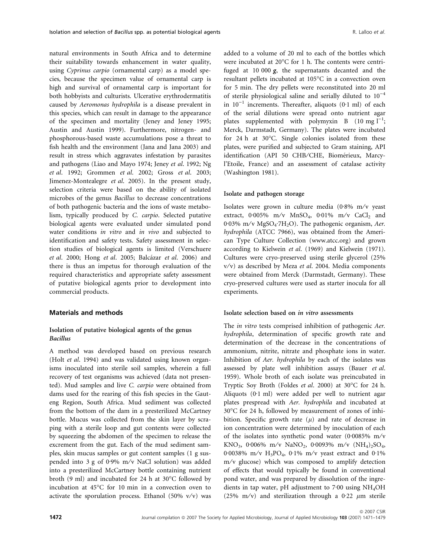natural environments in South Africa and to determine their suitability towards enhancement in water quality, using Cyprinus carpio (ornamental carp) as a model species, because the specimen value of ornamental carp is high and survival of ornamental carp is important for both hobbyists and culturists. Ulcerative erythrodermatitis caused by Aeromonas hydrophila is a disease prevalent in this species, which can result in damage to the appearance of the specimen and mortality (Jeney and Jeney 1995; Austin and Austin 1999). Furthermore, nitrogen- and phosphorous-based waste accumulations pose a threat to fish health and the environment (Jana and Jana 2003) and result in stress which aggravates infestation by parasites and pathogens (Liao and Mayo 1974; Jeney et al. 1992; Ng et al. 1992; Grommen et al. 2002; Gross et al. 2003; Jimenez-Montealegre et al. 2005). In the present study, selection criteria were based on the ability of isolated microbes of the genus Bacillus to decrease concentrations of both pathogenic bacteria and the ions of waste metabolism, typically produced by C. carpio. Selected putative biological agents were evaluated under simulated pond water conditions in vitro and in vivo and subjected to identification and safety tests. Safety assessment in selection studies of biological agents is limited (Verschuere et al. 2000; Hong et al. 2005; Balcázar et al. 2006) and there is thus an impetus for thorough evaluation of the required characteristics and appropriate safety assessment of putative biological agents prior to development into commercial products.

### Materials and methods

### Isolation of putative biological agents of the genus Bacillus

A method was developed based on previous research (Holt et al. 1994) and was validated using known organisms inoculated into sterile soil samples, wherein a full recovery of test organisms was achieved (data not presented). Mud samples and live C. carpio were obtained from dams used for the rearing of this fish species in the Gauteng Region, South Africa. Mud sediment was collected from the bottom of the dam in a presterilized McCartney bottle. Mucus was collected from the skin layer by scraping with a sterile loop and gut contents were collected by squeezing the abdomen of the specimen to release the excrement from the gut. Each of the mud sediment samples, skin mucus samples or gut content samples (1 g suspended into 3 g of 0.9% m/v NaCl solution) was added into a presterilized McCartney bottle containing nutrient broth (9 ml) and incubated for 24 h at 30°C followed by incubation at 45°C for 10 min in a convection oven to activate the sporulation process. Ethanol (50%  $v/v$ ) was added to a volume of 20 ml to each of the bottles which were incubated at  $20^{\circ}$ C for 1 h. The contents were centrifuged at 10 000  $g$ , the supernatants decanted and the resultant pellets incubated at  $105^{\circ}$ C in a convection oven for 5 min. The dry pellets were reconstituted into 20 ml of sterile physiological saline and serially diluted to  $10^{-4}$ in  $10^{-1}$  increments. Thereafter, aliquots (0.1 ml) of each of the serial dilutions were spread onto nutrient agar plates supplemented with polymyxin B  $(10 \text{ mg } l^{-1})$ ; Merck, Darmstadt, Germany). The plates were incubated for 24 h at 30 $^{\circ}$ C. Single colonies isolated from these plates, were purified and subjected to Gram staining, API identification (API 50 CHB/CHE, Biomérieux, Marcyl'Etoile, France) and an assessment of catalase activity (Washington 1981).

### Isolate and pathogen storage

Isolates were grown in culture media  $(0.8\% \text{ m/v} )$  yeast extract,  $0.005\%$  m/v MnSO<sub>4</sub>,  $0.01\%$  m/v CaCl<sub>2</sub> and 0.03% m/v MgSO<sub>4</sub>.7H<sub>2</sub>O). The pathogenic organism, Aer. hydrophila (ATCC 7966), was obtained from the American Type Culture Collection (www.atcc.org) and grown according to Kielwein et al. (1969) and Kielwein (1971). Cultures were cryo-preserved using sterile glycerol (25%  $v/v$ ) as described by Meza et al. 2004. Media components were obtained from Merck (Darmstadt, Germany). These cryo-preserved cultures were used as starter inocula for all experiments.

### Isolate selection based on in vitro assessments

The in vitro tests comprised inhibition of pathogenic Aer. hydrophila, determination of specific growth rate and determination of the decrease in the concentrations of ammonium, nitrite, nitrate and phosphate ions in water. Inhibition of Aer. hydrophila by each of the isolates was assessed by plate well inhibition assays (Bauer et al. 1959). Whole broth of each isolate was preincubated in Tryptic Soy Broth (Foldes et al. 2000) at 30°C for 24 h. Aliquots  $(0.1 \text{ ml})$  were added per well to nutrient agar plates prespread with Aer. hydrophila and incubated at 30°C for 24 h, followed by measurement of zones of inhibition. Specific growth rate  $(\mu)$  and rate of decrease in ion concentration were determined by inoculation of each of the isolates into synthetic pond water (0.0085% m/ $\rm v$ KNO<sub>3</sub>, 0.006% m/v NaNO<sub>2</sub>, 0.0093% m/v  $(NH_4)_2SO_4$ , 0.0038% m/v  $H_3PO_4$ , 0.1% m/v yeast extract and 0.1%  $m/v$  glucose) which was composed to amplify detection of effects that would typically be found in conventional pond water, and was prepared by dissolution of the ingredients in tap water, pH adjustment to  $7.00$  using NH<sub>4</sub>OH (25% m/v) and sterilization through a 0.22  $\mu$ m sterile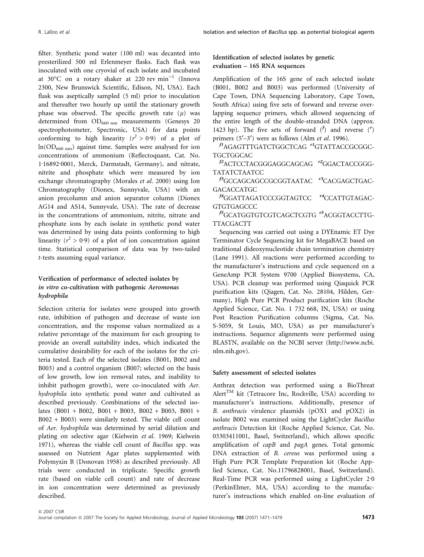filter. Synthetic pond water (100 ml) was decanted into presterilized 500 ml Erlenmeyer flasks. Each flask was inoculated with one cryovial of each isolate and incubated at 30°C on a rotary shaker at 220 rev $\min^{-1}$  (Innova 2300, New Brunswick Scientific, Edison, NJ, USA). Each flask was aseptically sampled (5 ml) prior to inoculation and thereafter two hourly up until the stationary growth phase was observed. The specific growth rate  $(\mu)$  was determined from  $OD_{660 \text{ nm}}$  measurements (Genesys 20 spectrophotometer, Spectronic, USA) for data points conforming to high linearity ( $r^2 > 0.9$ ) of a plot of ln(OD660 nm) against time. Samples were analysed for ion concentrations of ammonium (Reflectoquant, Cat. No. 1·16892·0001, Merck, Darmstadt, Germany), and nitrate, nitrite and phosphate which were measured by ion exchange chromatography (Morales et al. 2000) using Ion Chromatography (Dionex, Sunnyvale, USA) with an anion precolumn and anion separator column (Dionex AG14 and AS14, Sunnyvale, USA). The rate of decrease in the concentrations of ammonium, nitrite, nitrate and phosphate ions by each isolate in synthetic pond water was determined by using data points conforming to high linearity ( $r^2 > 0.9$ ) of a plot of ion concentration against time. Statistical comparison of data was by two-tailed t-tests assuming equal variance.

# Verification of performance of selected isolates by in vitro co-cultivation with pathogenic Aeromonas hydrophila

Selection criteria for isolates were grouped into growth rate, inhibition of pathogen and decrease of waste ion concentration, and the response values normalized as a relative percentage of the maximum for each grouping to provide an overall suitability index, which indicated the cumulative desirability for each of the isolates for the criteria tested. Each of the selected isolates (B001, B002 and B003) and a control organism (B007; selected on the basis of low growth, low ion removal rates, and inability to inhibit pathogen growth), were co-inoculated with Aer. hydrophila into synthetic pond water and cultivated as described previously. Combinations of the selected isolates (B001 + B002, B001 + B003, B002 + B003, B001 + B002 + B003) were similarly tested. The viable cell count of Aer. hydrophila was determined by serial dilution and plating on selective agar (Kielwein et al. 1969; Kielwein 1971), whereas the viable cell count of Bacillus spp. was assessed on Nutrient Agar plates supplemented with Polymyxin B (Donovan 1958) as described previously. All trials were conducted in triplicate. Specific growth rate (based on viable cell count) and rate of decrease in ion concentration were determined as previously described.

# Identification of selected isolates by genetic evaluation – 16S RNA sequences

Amplification of the 16S gene of each selected isolate (B001, B002 and B003) was performed (University of Cape Town, DNA Sequencing Laboratory, Cape Town, South Africa) using five sets of forward and reverse overlapping sequence primers, which allowed sequencing of the entire length of the double-stranded DNA (approx. 1423 bp). The five sets of forward  $(f)$  and reverse  $(f)$ primers  $(5'-3')$  were as follows (Alm *et al.* 1996).

f<sup>1</sup>AGAGTTTGATCTGGCTCAG<sup>r1</sup>GTATTACCGCGGC-TGCTGGCAC

 $f^2$ ACTCCTACGGGAGGCAGCAG  $r^2$ GGACTACCGGG-TATATCTAATCC

<sup>f3</sup>GCCAGCAGCCGCGGTAATAC <sup>r3</sup>CACGAGCTGAC-**GACACCATGC** 

 $f^4$ GGATTAGATCCCGGTAGTCC  $r^4$ CCATTGTAGAC-**GTGTGAGCCC** 

f5GCATGGTGTCGTCAGCTCGTG r5ACGGTACCTTG-TTACGACTT

Sequencing was carried out using a DYEnamic ET Dye Terminator Cycle Sequencing kit for MegaBACE based on traditional dideoxynucleotide chain termination chemistry (Lane 1991). All reactions were performed according to the manufacturer's instructions and cycle sequenced on a GeneAmp PCR System 9700 (Applied Biosystems, CA, USA). PCR cleanup was performed using Qiaquick PCR purification kits (Qiagen, Cat. No. 28104, Hilden, Germany), High Pure PCR Product purification kits (Roche Applied Science, Cat. No. 1 732 668, IN, USA) or using Post Reaction Purification columns (Sigma, Cat. No. S-5059, St Louis, MO, USA) as per manufacturer's instructions. Sequence alignments were performed using BLASTN, available on the NCBI server (http://www.ncbi. nlm.nih.gov).

### Safety assessment of selected isolates

Anthrax detection was performed using a BioThreat Alert<sup>TM</sup> kit (Tetracore Inc, Rockville, USA) according to manufacturer's instructions. Additionally, presence of B. anthracis virulence plasmids (pOX1 and pOX2) in isolate B002 was examined using the LightCycler Bacillus anthracis Detection kit (Roche Applied Science, Cat. No. 03303411001, Basel, Switzerland), which allows specific amplification of capB and pagA genes. Total genomic DNA extraction of B. cereus was performed using a High Pure PCR Template Preparation kit (Roche Applied Science, Cat. No.11796828001, Basel, Switzerland). Real-Time PCR was performed using a LightCycler 2.0 (PerkinElmer, MA, USA) according to the manufacturer's instructions which enabled on-line evaluation of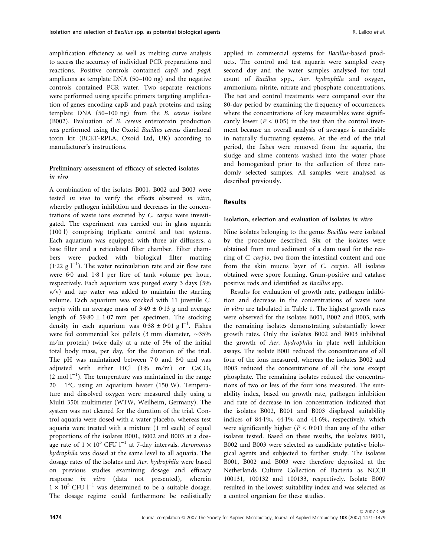amplification efficiency as well as melting curve analysis to access the accuracy of individual PCR preparations and reactions. Positive controls contained capB and pagA amplicons as template DNA (50–100 ng) and the negative controls contained PCR water. Two separate reactions were performed using specific primers targeting amplification of genes encoding capB and pagA proteins and using template DNA (50–100 ng) from the B. cereus isolate (B002). Evaluation of B. cereus enterotoxin production was performed using the Oxoid Bacillus cereus diarrhoeal toxin kit (BCET-RPLA, Oxoid Ltd, UK) according to manufacturer's instructions.

# Preliminary assessment of efficacy of selected isolates in vivo

A combination of the isolates B001, B002 and B003 were tested in vivo to verify the effects observed in vitro, whereby pathogen inhibition and decreases in the concentrations of waste ions excreted by C. carpio were investigated. The experiment was carried out in glass aquaria (100 l) comprising triplicate control and test systems. Each aquarium was equipped with three air diffusers, a base filter and a reticulated filter chamber. Filter chambers were packed with biological filter matting  $(1.22 \text{ g } l^{-1})$ . The water recirculation rate and air flow rate were  $6.0$  and  $1.8$  l per litre of tank volume per hour, respectively. Each aquarium was purged every 3 days (5%  $v/v$ ) and tap water was added to maintain the starting volume. Each aquarium was stocked with 11 juvenile C. carpio with an average mass of  $3.49 \pm 0.13$  g and average length of  $59.80 \pm 1.07$  mm per specimen. The stocking density in each aquarium was  $0.38 \pm 0.01$  g l<sup>-1</sup>. Fishes were fed commercial koi pellets (3 mm diameter,  $\sim$ 35% m/m protein) twice daily at a rate of 5% of the initial total body mass, per day, for the duration of the trial. The pH was maintained between  $7·0$  and  $8·0$  and was adjusted with either HCl  $(1\% \text{ m/m})$  or  $CaCO<sub>3</sub>$  $(2 \text{ mol } l^{-1})$ . The temperature was maintained in the range  $20 \pm 1$ °C using an aquarium heater (150 W). Temperature and dissolved oxygen were measured daily using a Multi 350i multimeter (WTW, Weilheim, Germany). The system was not cleaned for the duration of the trial. Control aquaria were dosed with a water placebo, whereas test aquaria were treated with a mixture (1 ml each) of equal proportions of the isolates B001, B002 and B003 at a dosage rate of  $1 \times 10^5$  CFU l<sup>-1</sup> at 7-day intervals. Aeromonas hydrophila was dosed at the same level to all aquaria. The dosage rates of the isolates and Aer. hydrophila were based on previous studies examining dosage and efficacy response in vitro (data not presented), wherein  $1 \times 10^5$  CFU l<sup>-1</sup> was determined to be a suitable dosage. The dosage regime could furthermore be realistically applied in commercial systems for Bacillus-based products. The control and test aquaria were sampled every second day and the water samples analysed for total count of Bacillus spp., Aer. hydrophila and oxygen, ammonium, nitrite, nitrate and phosphate concentrations. The test and control treatments were compared over the 80-day period by examining the frequency of occurrences, where the concentrations of key measurables were significantly lower ( $P < 0.05$ ) in the test than the control treatment because an overall analysis of averages is unreliable in naturally fluctuating systems. At the end of the trial period, the fishes were removed from the aquaria, the sludge and slime contents washed into the water phase and homogenized prior to the collection of three randomly selected samples. All samples were analysed as described previously.

### **Results**

### Isolation, selection and evaluation of isolates in vitro

Nine isolates belonging to the genus Bacillus were isolated by the procedure described. Six of the isolates were obtained from mud sediment of a dam used for the rearing of C. carpio, two from the intestinal content and one from the skin mucus layer of C. carpio. All isolates obtained were spore forming, Gram-positive and catalase positive rods and identified as Bacillus spp.

Results for evaluation of growth rate, pathogen inhibition and decrease in the concentrations of waste ions in vitro are tabulated in Table 1. The highest growth rates were observed for the isolates B001, B002 and B003, with the remaining isolates demonstrating substantially lower growth rates. Only the isolates B002 and B003 inhibited the growth of Aer. hydrophila in plate well inhibition assays. The isolate B001 reduced the concentrations of all four of the ions measured, whereas the isolates B002 and B003 reduced the concentrations of all the ions except phosphate. The remaining isolates reduced the concentrations of two or less of the four ions measured. The suitability index, based on growth rate, pathogen inhibition and rate of decrease in ion concentration indicated that the isolates B002, B001 and B003 displayed suitability indices of  $84·1\%$ ,  $44·1\%$  and  $41·6\%$ , respectively, which were significantly higher  $(P < 0.01)$  than any of the other isolates tested. Based on these results, the isolates B001, B002 and B003 were selected as candidate putative biological agents and subjected to further study. The isolates B001, B002 and B003 were therefore deposited at the Netherlands Culture Collection of Bacteria as NCCB 100131, 100132 and 100133, respectively. Isolate B007 resulted in the lowest suitability index and was selected as a control organism for these studies.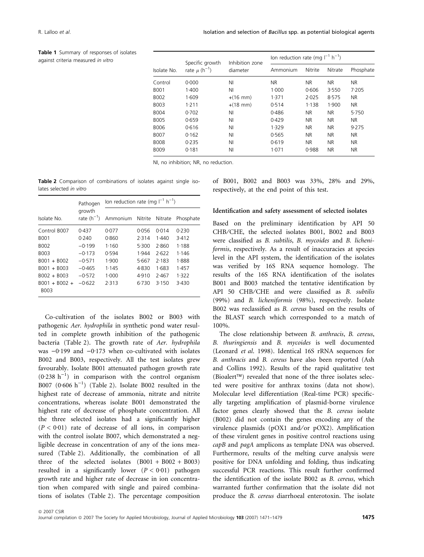Table 1 Summary of responses of isolates against criteria measured in vitro

| Isolate No. | Specific growth<br>rate $\mu$ (h <sup>-1</sup> ) | Inhibition zone<br>diameter | lon reduction rate (mg $I^{-1}$ h <sup>-1</sup> ) |           |           |           |
|-------------|--------------------------------------------------|-----------------------------|---------------------------------------------------|-----------|-----------|-----------|
|             |                                                  |                             | Ammonium                                          | Nitrite   | Nitrate   | Phosphate |
| Control     | 0.000                                            | ΝI                          | NR.                                               | <b>NR</b> | <b>NR</b> | NR.       |
| <b>BOO1</b> | 1.400                                            | NI                          | 1.000                                             | 0.606     | 3.550     | 7.205     |
| B002        | 1.609                                            | $+(16 \text{ mm})$          | 1.371                                             | 2.025     | 8.575     | <b>NR</b> |
| B003        | 1.211                                            | $+(18 \text{ mm})$          | 0.514                                             | 1.138     | 1.900     | <b>NR</b> |
| <b>B004</b> | 0.702                                            | ΝI                          | 0.486                                             | NR.       | <b>NR</b> | 5.750     |
| <b>B005</b> | 0.659                                            | ΝI                          | 0.429                                             | <b>NR</b> | <b>NR</b> | <b>NR</b> |
| <b>B006</b> | 0.616                                            | ΝI                          | 1.329                                             | <b>NR</b> | <b>NR</b> | 9.275     |
| <b>B007</b> | 0.162                                            | ΝI                          | 0.565                                             | <b>NR</b> | <b>NR</b> | <b>NR</b> |
| <b>B008</b> | 0.235                                            | ΝI                          | 0.619                                             | <b>NR</b> | <b>NR</b> | <b>NR</b> |
| <b>B009</b> | 0.181                                            | ΝI                          | 1.071                                             | 0.988     | <b>NR</b> | <b>NR</b> |

NI, no inhibition; NR, no reduction.

Table 2 Comparison of combinations of isolates against single isolates selected in vitro

|                         | Pathogen                  | lon reduction rate (mg $I^{-1}$ h <sup>-1</sup> ) |       |         |           |  |
|-------------------------|---------------------------|---------------------------------------------------|-------|---------|-----------|--|
| Isolate No.             | growth<br>rate $(h^{-1})$ | Ammonium Nitrite                                  |       | Nitrate | Phosphate |  |
| Control B007            | 0.437                     | 0.077                                             | 0.056 | 0.014   | 0.230     |  |
| B001                    | 0.240                     | 0.860                                             | 2.314 | 1.440   | 3.412     |  |
| B002                    | $-0.199$                  | 1.160                                             | 5.300 | 2.860   | 1.188     |  |
| B003                    | $-0.173$                  | 0.594                                             | 1.944 | 7.622   | 1.146     |  |
| B001 + B002             | $-0.571$                  | 1.900                                             | 5.667 | 7.183   | 1.888     |  |
| $B001 + B003$           | $-0.465$                  | 1.145                                             | 4.830 | 1.683   | 1.457     |  |
| $B002 + B003$           | $-0.572$                  | 1.000                                             | 4.910 | 2.467   | 1.322     |  |
| $ROO1 + BOO2 +$<br>B003 | $-0.622$                  | 7.313                                             | 6.730 | 3.150   | 3.430     |  |

Co-cultivation of the isolates B002 or B003 with pathogenic Aer. hydrophila in synthetic pond water resulted in complete growth inhibition of the pathogenic bacteria (Table 2). The growth rate of Aer. hydrophila was  $-0.199$  and  $-0.173$  when co-cultivated with isolates B002 and B003, respectively. All the test isolates grew favourably. Isolate B001 attenuated pathogen growth rate  $(0.238 \text{ h}^{-1})$  in comparison with the control organism B007  $(0.606 \text{ h}^{-1})$  (Table 2). Isolate B002 resulted in the highest rate of decrease of ammonia, nitrate and nitrite concentrations, whereas isolate B001 demonstrated the highest rate of decrease of phosphate concentration. All the three selected isolates had a significantly higher  $(P < 0.01)$  rate of decrease of all ions, in comparison with the control isolate B007, which demonstrated a negligible decrease in concentration of any of the ions measured (Table 2). Additionally, the combination of all three of the selected isolates  $(B001 + B002 + B003)$ resulted in a significantly lower  $(P < 0.01)$  pathogen growth rate and higher rate of decrease in ion concentration when compared with single and paired combinations of isolates (Table 2). The percentage composition

of B001, B002 and B003 was 33%, 28% and 29%, respectively, at the end point of this test.

#### Identification and safety assessment of selected isolates

Based on the preliminary identification by API 50 CHB/CHE, the selected isolates B001, B002 and B003 were classified as B. subtilis, B. mycoides and B. licheniformis, respectively. As a result of inaccuracies at species level in the API system, the identification of the isolates was verified by 16S RNA sequence homology. The results of the 16S RNA identification of the isolates B001 and B003 matched the tentative identification by API 50 CHB/CHE and were classified as B. subtilis (99%) and B. licheniformis (98%), respectively. Isolate B002 was reclassified as B. cereus based on the results of the BLAST search which corresponded to a match of 100%.

The close relationship between B. anthracis, B. cereus, B. thuringiensis and B. mycoides is well documented (Leonard et al. 1998). Identical 16S rRNA sequences for B. anthracis and B. cereus have also been reported (Ash and Collins 1992). Results of the rapid qualitative test (Bioalert<sup> $TM$ </sup>) revealed that none of the three isolates selected were positive for anthrax toxins (data not show). Molecular level differentiation (Real-time PCR) specifically targeting amplification of plasmid-borne virulence factor genes clearly showed that the B. cereus isolate (B002) did not contain the genes encoding any of the virulence plasmids (pOX1 and/or pOX2). Amplification of these virulent genes in positive control reactions using capB and pagA amplicons as template DNA was observed. Furthermore, results of the melting curve analysis were positive for DNA unfolding and folding, thus indicating successful PCR reactions. This result further confirmed the identification of the isolate B002 as B. cereus, which warranted further confirmation that the isolate did not produce the B. cereus diarrhoeal enterotoxin. The isolate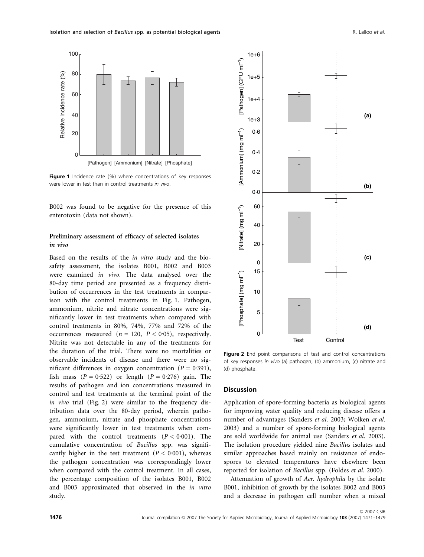100

80

60





Figure 1 Incidence rate (%) where concentrations of key responses were lower in test than in control treatments in vivo.

B002 was found to be negative for the presence of this enterotoxin (data not shown).

## Preliminary assessment of efficacy of selected isolates in vivo

Based on the results of the in vitro study and the biosafety assessment, the isolates B001, B002 and B003 were examined in vivo. The data analysed over the 80-day time period are presented as a frequency distribution of occurrences in the test treatments in comparison with the control treatments in Fig. 1. Pathogen, ammonium, nitrite and nitrate concentrations were significantly lower in test treatments when compared with control treatments in 80%, 74%, 77% and 72% of the occurrences measured ( $n = 120$ ,  $P < 0.05$ ), respectively. Nitrite was not detectable in any of the treatments for the duration of the trial. There were no mortalities or observable incidents of disease and there were no significant differences in oxygen concentration ( $P = 0.391$ ), fish mass  $(P = 0.522)$  or length  $(P = 0.276)$  gain. The results of pathogen and ion concentrations measured in control and test treatments at the terminal point of the in vivo trial (Fig. 2) were similar to the frequency distribution data over the 80-day period, wherein pathogen, ammonium, nitrate and phosphate concentrations were significantly lower in test treatments when compared with the control treatments  $(P < 0.001)$ . The cumulative concentration of Bacillus spp. was significantly higher in the test treatment  $(P < 0.001)$ , whereas the pathogen concentration was correspondingly lower when compared with the control treatment. In all cases, the percentage composition of the isolates B001, B002 and B003 approximated that observed in the in vitro study.



Figure 2 End point comparisons of test and control concentrations of key responses in vivo (a) pathogen, (b) ammonium, (c) nitrate and (d) phosphate.

### **Discussion**

Application of spore-forming bacteria as biological agents for improving water quality and reducing disease offers a number of advantages (Sanders et al. 2003; Wolken et al. 2003) and a number of spore-forming biological agents are sold worldwide for animal use (Sanders et al. 2003). The isolation procedure yielded nine Bacillus isolates and similar approaches based mainly on resistance of endospores to elevated temperatures have elsewhere been reported for isolation of Bacillus spp. (Foldes et al. 2000).

Attenuation of growth of Aer. hydrophila by the isolate B001, inhibition of growth by the isolates B002 and B003 and a decrease in pathogen cell number when a mixed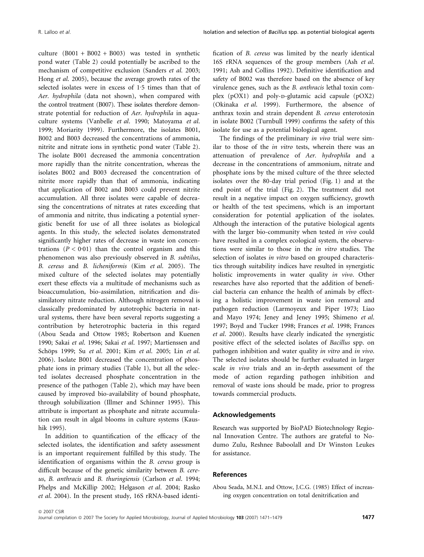culture  $(B001 + B002 + B003)$  was tested in synthetic pond water (Table 2) could potentially be ascribed to the mechanism of competitive exclusion (Sanders et al. 2003; Hong et al. 2005), because the average growth rates of the selected isolates were in excess of  $1.5$  times than that of Aer. hydrophila (data not shown), when compared with the control treatment (B007). These isolates therefore demonstrate potential for reduction of Aer. hydrophila in aquaculture systems (Vanbelle et al. 1990; Matoyama et al. 1999; Moriarity 1999). Furthermore, the isolates B001, B002 and B003 decreased the concentrations of ammonia, nitrite and nitrate ions in synthetic pond water (Table 2). The isolate B001 decreased the ammonia concentration more rapidly than the nitrite concentration, whereas the isolates B002 and B003 decreased the concentration of nitrite more rapidly than that of ammonia, indicating that application of B002 and B003 could prevent nitrite accumulation. All three isolates were capable of decreasing the concentrations of nitrates at rates exceeding that of ammonia and nitrite, thus indicating a potential synergistic benefit for use of all three isolates as biological agents. In this study, the selected isolates demonstrated significantly higher rates of decrease in waste ion concentrations  $(P < 0.01)$  than the control organism and this phenomenon was also previously observed in B. subtilus, B. cereus and B. licheniformis (Kim et al. 2005). The mixed culture of the selected isolates may potentially exert these effects via a multitude of mechanisms such as bioaccumulation, bio-assimilation, nitrification and dissimilatory nitrate reduction. Although nitrogen removal is classically predominated by autotrophic bacteria in natural systems, there have been several reports suggesting a contribution by heterotrophic bacteria in this regard (Abou Seada and Ottow 1985; Robertson and Kuenen 1990; Sakai et al. 1996; Sakai et al. 1997; Martienssen and Schöps 1999; Su et al. 2001; Kim et al. 2005; Lin et al. 2006). Isolate B001 decreased the concentration of phosphate ions in primary studies (Table 1), but all the selected isolates decreased phosphate concentration in the presence of the pathogen (Table 2), which may have been caused by improved bio-availability of bound phosphate, through solubilization (Illmer and Schinner 1995). This attribute is important as phosphate and nitrate accumulation can result in algal blooms in culture systems (Kaushik 1995).

In addition to quantification of the efficacy of the selected isolates, the identification and safety assessment is an important requirement fulfilled by this study. The identification of organisms within the B. cereus group is difficult because of the genetic similarity between B. cereus, B. anthracis and B. thuringiensis (Carlson et al. 1994; Phelps and McKillip 2002; Helgason et al. 2004; Rasko et al. 2004). In the present study, 16S rRNA-based identification of B. cereus was limited by the nearly identical 16S rRNA sequences of the group members (Ash et al. 1991; Ash and Collins 1992). Definitive identification and safety of B002 was therefore based on the absence of key virulence genes, such as the B. anthracis lethal toxin complex (pOX1) and poly-p-glutamic acid capsule (pOX2) (Okinaka et al. 1999). Furthermore, the absence of anthrax toxin and strain dependent B. cereus enterotoxin in isolate B002 (Turnbull 1999) confirms the safety of this isolate for use as a potential biological agent.

The findings of the preliminary in vivo trial were similar to those of the in vitro tests, wherein there was an attenuation of prevalence of Aer. hydrophila and a decrease in the concentrations of ammonium, nitrate and phosphate ions by the mixed culture of the three selected isolates over the 80-day trial period (Fig. 1) and at the end point of the trial (Fig. 2). The treatment did not result in a negative impact on oxygen sufficiency, growth or health of the test specimens, which is an important consideration for potential application of the isolates. Although the interaction of the putative biological agents with the larger bio-community when tested in vivo could have resulted in a complex ecological system, the observations were similar to those in the in vitro studies. The selection of isolates in vitro based on grouped characteristics through suitability indices have resulted in synergistic holistic improvements in water quality in vivo. Other researches have also reported that the addition of beneficial bacteria can enhance the health of animals by effecting a holistic improvement in waste ion removal and pathogen reduction (Larmoyeux and Piper 1973; Liao and Mayo 1974; Jeney and Jeney 1995; Shimeno et al. 1997; Boyd and Tucker 1998; Frances et al. 1998; Frances et al. 2000). Results have clearly indicated the synergistic positive effect of the selected isolates of Bacillus spp. on pathogen inhibition and water quality in vitro and in vivo. The selected isolates should be further evaluated in larger scale in vivo trials and an in-depth assessment of the mode of action regarding pathogen inhibition and removal of waste ions should be made, prior to progress towards commercial products.

### Acknowledgements

Research was supported by BioPAD Biotechnology Regional Innovation Centre. The authors are grateful to Nodumo Zulu, Reshnee Baboolall and Dr Winston Leukes for assistance.

### References

Abou Seada, M.N.I. and Ottow, J.C.G. (1985) Effect of increasing oxygen concentration on total denitrification and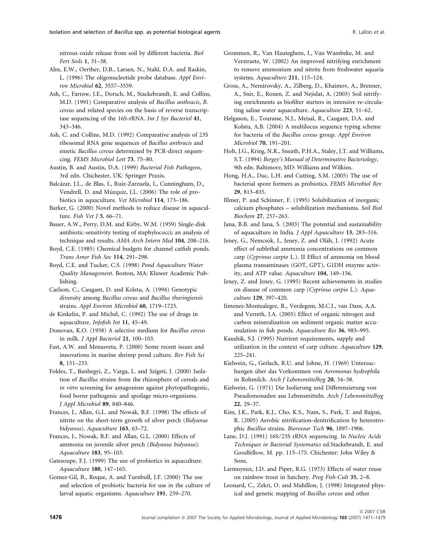nitrous oxide release from soil by different bacteria. Biol Fert Soils 1, 31–38.

Alm, E.W., Oerther, D.B., Larsen, N., Stahl, D.A. and Raskin, L. (1996) The oligonucleotide probe database. Appl Environ Microbiol 62, 3557–3559.

Ash, C., Farrow, J.E., Dorsch, M., Stackebrandt, E. and Collins, M.D. (1991) Comparative analysis of Bacillus anthracis, B. cereus and related species on the basis of reverse transcriptase sequencing of the 16S-rRNA. Int J Sys Bacteriol 41, 343–346.

Ash, C. and Collins, M.D. (1992) Comparative analysis of 23S ribosomal RNA gene sequences of Bacillus anthracis and emetic Bacillus cereus determined by PCR-direct sequencing. FEMS Microbiol Lett 73, 75–80.

Austin, B. and Austin, D.A. (1999) Bacterial Fish Pathogens, 3rd edn. Chichester, UK: Springer Praxis.

Balcázar, J.L., de Blas, I., Ruiz-Zarzuela, I., Cunningham, D., Vendrell, D. and Múzquiz, J.L. (2006) The role of probiotics in aquaculture. Vet Microbiol 114, 173–186.

Barker, G. (2000) Novel methods to reduce disease in aquaculture. Fish Vet J 5, 66–71.

Bauer, A.W., Perry, D.M. and Kirby, W.M. (1959) Single-disk antibiotic-sensitivity testing of staphylococci; an analysis of technique and results. AMA Arch Intern Med 104, 208–216.

Boyd, C.E. (1985) Chemical budgets for channel catfish ponds. Trans Amer Fish Soc 114, 291–298.

Boyd, C.E. and Tucker, C.S. (1998) Pond Aquaculture Water Quality Management. Boston, MA: Kluwer Academic Publishing.

Carlson, C., Caugant, D. and Kolstu, A. (1994) Genotypic diversity among Bacillus cereus and Bacillus thuringiensis strains. Appl Environ Microbiol 60, 1719–1725.

de Kinkelin, P. and Michel, C. (1992) The use of drugs in aquaculture. Infofish Int 11, 45–49.

Donovan, K.O. (1958) A selective medium for Bacillus cereus in milk. J Appl Bacteriol 21, 100–103.

Fast, A.W. and Menasveta, P. (2000) Some recent issues and innovations in marine shrimp pond culture. Rev Fish Sci 8, 151–233.

Foldes, T., Banhegyi, Z., Varga, L. and Szigeti, J. (2000) Isolation of Bacillus strains from the rhizosphere of cereals and in vitro screening for antagonism against phytopathogenic, food borne pathogenic and spoilage micro-organisms. J Appl Microbiol 89, 840–846.

Frances, J., Allan, G.L. and Nowak, B.F. (1998) The effects of nitrite on the short-term growth of silver perch (Bidyanus bidyanus). Aquaculture 163, 63–72.

Frances, J., Nowak, B.F. and Allan, G.L. (2000) Effects of ammonia on juvenile silver perch (Bidyanus bidyanus). Aquaculture 183, 95–103.

Gatesoupe, F.J. (1999) The use of probiotics in aquaculture. Aquaculture 180, 147–165.

Gomez-Gil, B., Roque, A. and Turnbull, J.F. (2000) The use and selection of probiotic bacteria for use in the culture of larval aquatic organisms. Aquaculture 191, 259–270.

Grommen, R., Van Hauteghem, I., Van Wambeke, M. and Verstraete, W. (2002) An improved nitrifying enrichment to remove ammonium and nitrite from freshwater aquaria systems. Aquaculture 211, 115–124.

Gross, A., Nemirovsky, A., Zilberg, D., Khaimov, A., Brenner, A., Snir, E., Ronen, Z. and Nejidat, A. (2003) Soil nitrifying enrichments as biofilter starters in intensive re-circulating saline water aquaculture. Aquaculture 223, 51–62.

Helgason, E., Tourasse, N.J., Meisal, R., Caugant, D.A. and Kolstu, A.B. (2004) A multilocus sequence typing scheme for bacteria of the Bacillus cereus group. Appl Environ Microbiol 70, 191–201.

Holt, J.G., Krieg, N.R., Sneath, P.H.A., Staley, J.T. and Williams, S.T. (1994) Bergey's Manual of Determinative Bacteriology, 9th edn. Baltimore, MD: Williams and Wilkins.

Hong, H.A., Duc, L.H. and Cutting, S.M. (2005) The use of bacterial spore formers as probiotics. FEMS Microbiol Rev 29, 813–835.

Illmer, P. and Schinner, F. (1995) Solubilization of inorganic calcium phosphates – solubilization mechanisms. Soil Biol Biochem 27, 257–263.

Jana, B.B. and Jana, S. (2003) The potential and sustainability of aquaculture in India. J Appl Aquaculture 13, 283–316.

Jeney, G., Nemcsók, J., Jeney, Z. and Oláh, J. (1992) Acute effect of sublethal ammonia concentrations on common carp (Cyprinus carpio L.). II Effect of ammonia on blood plasma transaminases (GOT, GPT), G1DH enzyme activity, and ATP value. Aquaculture 104, 149–156.

Jeney, Z. and Jeney, G. (1995) Recent achievements in studies on disease of common carp (Cyprinus carpio L.). Aquaculture 129, 397–420.

Jimenez-Montealegre, R., Verdegem, M.C.J., van Dam, A.A. and Verreth, J.A. (2005) Effect of organic nitrogen and carbon mineralization on sediment organic matter accumulation in fish ponds. Aquaculture Res 36, 983–995.

Kaushik, S.J. (1995) Nutrient requirements, supply and utilization in the context of carp culture. Aquaculture 129, 225–241.

Kielwein, G., Gerlach, R.U. and Johne, H. (1969) Untersuchungen über das Vorkommen von Aeromonas hydrophila in Rohmilch. Arch f Lebensmittelhyg 20, 34–38.

Kielwein, G. (1971) Die Isolierung und Differenzierung von Pseudomonaden aus Lebensmitteln. Arch f Lebensmittelhyg 22, 29–37.

Kim, J.K., Park, K.J., Cho, K.S., Nam, S., Park, T. and Bajpai, R. (2005) Aerobic nitrification-denitrification by heterotrophic Bacillus strains. Bioresour Tech 96, 1897–1906.

Lane, D.J. (1991) 16S/23S rRNA sequencing. In Nucleic Acids Techniques in Bacterial Systematics ed.Stackebrandt, E. and Goodfellow, M. pp. 115–175. Chichester: John Wiley & Sons.

Larmoyeux, J.D. and Piper, R.G. (1973) Effects of water reuse on rainbow trout in hatchery. Prog Fish-Cult 35, 2–8.

Leonard, C., Zekri, O. and Mahillon, J. (1998) Integrated physical and genetic mapping of Bacillus cereus and other